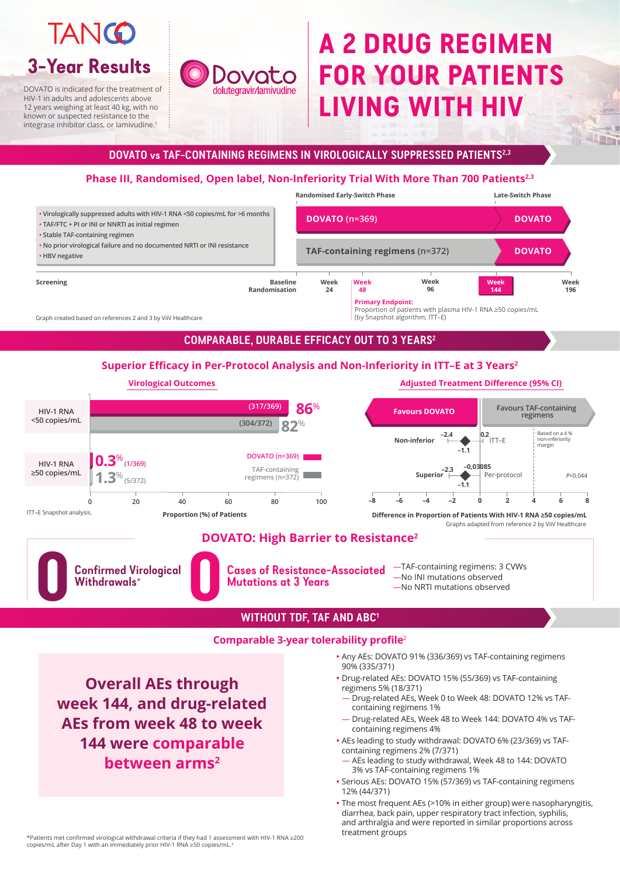DOVATO is indicated for the treatment of HIV-1 in adults and adolescents above 12 years weighing at least 40 kg, with no known or suspected resistance to the integrase inhibitor class, or lamivudine.1

# Dovato **Jolutegravir/lamivudine**

# **TANGO 3-Year Results**

## **DOVATO vs TAF-CONTAINING REGIMENS IN VIROLOGICALLY SUPPRESSED PATIENTS2,3**

## **COMPARABLE, DURABLE EFFICACY OUT TO 3 YEARS2**

# **Phase III, Randomised, Open label, Non-Inferiority Trial With More Than 700 Patients2,3**

Any AEs: DOVATO 91% (336/369) vs TAF-containing regimens

90% (335/371)

- Drug-related AEs: DOVATO 15% (55/369) vs TAF-containing regimens 5% (18/371)
- Drug-related AEs, Week 0 to Week 48: DOVATO 12% vs TAFcontaining regimens 1%
- Drug-related AEs, Week 48 to Week 144: DOVATO 4% vs TAFcontaining regimens 4%
- AEs leading to study withdrawal: DOVATO 6% (23/369) vs TAFcontaining regimens 2% (7/371)
- AEs leading to study withdrawal, Week 48 to 144: DOVATO 3% vs TAF-containing regimens 1%
- Serious AEs: DOVATO 15% (57/369) vs TAF-containing regimens 12% (44/371)
- The most frequent AEs (>10% in either group) were nasopharyngitis, diarrhea, back pain, upper respiratory tract infection, syphilis, and arthralgia and were reported in similar proportions across treatment groups

## **Superior Efficacy in Per-Protocol Analysis and Non-Inferiority in ITT–E at 3 Years<sup>2</sup>**





\*Patients met confirmed virological withdrawal criteria if they had 1 assessment with HIV-1 RNA ≥200 copies/mL after Day 1 with an immediately prior HIV-1 RNA ≥50 copies/mL.<sup>3</sup>

**Overall AEs through week 144, and drug-related AEs from week 48 to week 144 were comparable between arms2**

Graph created based on references 2 and 3 by ViiV Healthcare

# **A 2 DRUG REGIMEN FOR YOUR PATIENTS LIVING WITH HIV**